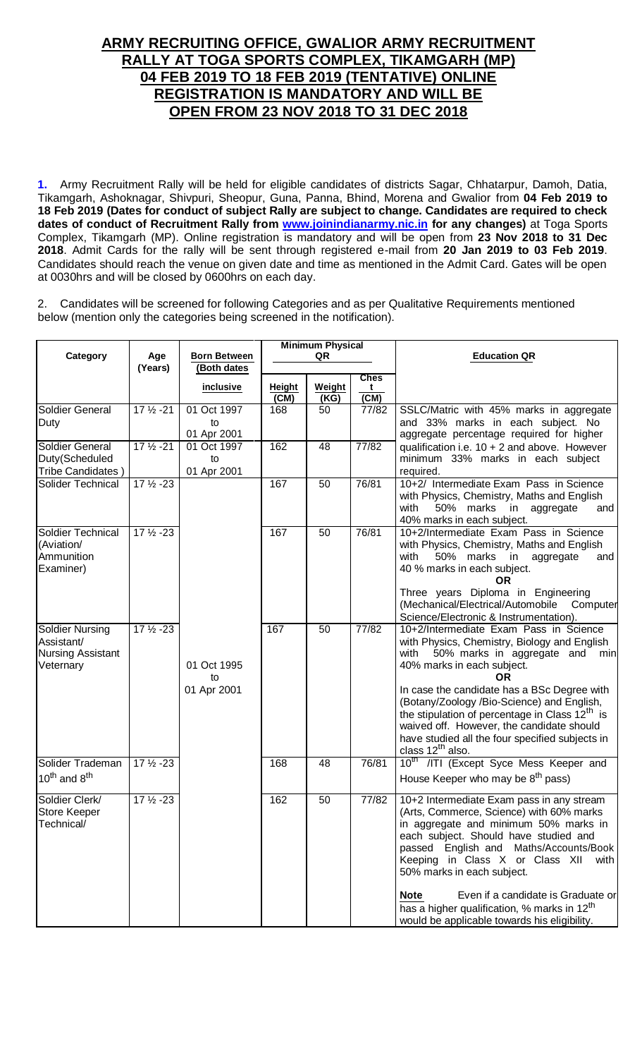# **ARMY RECRUITING OFFICE, GWALIOR ARMY RECRUITMENT RALLY AT TOGA SPORTS COMPLEX, TIKAMGARH (MP) 04 FEB 2019 TO 18 FEB 2019 (TENTATIVE) ONLINE REGISTRATION IS MANDATORY AND WILL BE OPEN FROM 23 NOV 2018 TO 31 DEC 2018**

**1.** Army Recruitment Rally will be held for eligible candidates of districts Sagar, Chhatarpur, Damoh, Datia, Tikamgarh, Ashoknagar, Shivpuri, Sheopur, Guna, Panna, Bhind, Morena and Gwalior from **04 Feb 2019 to 18 Feb 2019 (Dates for conduct of subject Rally are subject to change. Candidates are required to check dates of conduct of Recruitment Rally from [www.joinindianarmy.nic.in](http://www.joinindianarmy.nic.in/) for any changes)** at Toga Sports Complex, Tikamgarh (MP). Online registration is mandatory and will be open from **23 Nov 2018 to 31 Dec 2018**. Admit Cards for the rally will be sent through registered e-mail from **20 Jan 2019 to 03 Feb 2019**. Candidates should reach the venue on given date and time as mentioned in the Admit Card. Gates will be open at 0030hrs and will be closed by 0600hrs on each day.

2. Candidates will be screened for following Categories and as per Qualitative Requirements mentioned below (mention only the categories being screened in the notification).

| Category                                                               | Age<br>(Years)       | <b>Minimum Physical</b><br><b>Born Between</b><br>QR<br>(Both dates |                |                | <b>Education QR</b>      |                                                                                                                                                                                                                                                                                                                                                                                                                                                            |
|------------------------------------------------------------------------|----------------------|---------------------------------------------------------------------|----------------|----------------|--------------------------|------------------------------------------------------------------------------------------------------------------------------------------------------------------------------------------------------------------------------------------------------------------------------------------------------------------------------------------------------------------------------------------------------------------------------------------------------------|
|                                                                        |                      | inclusive                                                           | Height<br>(CM) | Weight<br>(KG) | <b>Ches</b><br>t<br>(CM) |                                                                                                                                                                                                                                                                                                                                                                                                                                                            |
| Soldier General<br>Duty                                                | $17\frac{1}{2} - 21$ | 01 Oct 1997<br>to<br>01 Apr 2001                                    | 168            | 50             | 77/82                    | SSLC/Matric with 45% marks in aggregate<br>and 33% marks in each subject. No<br>aggregate percentage required for higher                                                                                                                                                                                                                                                                                                                                   |
| Soldier General<br>Duty(Scheduled<br>Tribe Candidates)                 | $17\frac{1}{2} - 21$ | 01 Oct 1997<br>to<br>01 Apr 2001                                    | 162            | 48             | 77/82                    | qualification i.e. $10 + 2$ and above. However<br>minimum 33% marks in each subject<br>required.                                                                                                                                                                                                                                                                                                                                                           |
| Solider Technical                                                      | $17\frac{1}{2} - 23$ |                                                                     | 167            | 50             | 76/81                    | 10+2/ Intermediate Exam Pass in Science<br>with Physics, Chemistry, Maths and English<br>with<br>50% marks in aggregate<br>and<br>40% marks in each subject.                                                                                                                                                                                                                                                                                               |
| Soldier Technical<br>(Aviation/<br>Ammunition<br>Examiner)             | $17\frac{1}{2} - 23$ |                                                                     | 167            | 50             | 76/81                    | 10+2/Intermediate Exam Pass in Science<br>with Physics, Chemistry, Maths and English<br>50% marks in aggregate<br>with<br>and<br>40 % marks in each subject.<br>0R<br>Three years Diploma in Engineering                                                                                                                                                                                                                                                   |
|                                                                        |                      |                                                                     |                |                |                          | (Mechanical/Electrical/Automobile<br>Computer<br>Science/Electronic & Instrumentation).                                                                                                                                                                                                                                                                                                                                                                    |
| Soldier Nursing<br>Assistant/<br><b>Nursing Assistant</b><br>Veternary | $17\frac{1}{2} - 23$ | 01 Oct 1995<br>to                                                   | 167            | 50             | 77/82                    | 10+2/Intermediate Exam Pass in Science<br>with Physics, Chemistry, Biology and English<br>50% marks in aggregate and<br>with<br>min<br>40% marks in each subject.<br>OR                                                                                                                                                                                                                                                                                    |
|                                                                        |                      | 01 Apr 2001                                                         |                |                |                          | In case the candidate has a BSc Degree with<br>(Botany/Zoology /Bio-Science) and English,<br>the stipulation of percentage in Class 12 <sup>th</sup> is<br>waived off. However, the candidate should<br>have studied all the four specified subjects in<br>class 12 <sup>th</sup> also.                                                                                                                                                                    |
| Solider Trademan<br>$10^{th}$ and $8^{th}$                             | $17\frac{1}{2} - 23$ |                                                                     | 168            | 48             | 76/81                    | 10 <sup>th</sup> /ITI (Except Syce Mess Keeper and<br>House Keeper who may be 8 <sup>th</sup> pass)                                                                                                                                                                                                                                                                                                                                                        |
| Soldier Clerk/<br>Store Keeper<br>Technical/                           | $17\frac{1}{2} - 23$ |                                                                     | 162            | 50             | 77/82                    | 10+2 Intermediate Exam pass in any stream<br>(Arts, Commerce, Science) with 60% marks<br>in aggregate and minimum 50% marks in<br>each subject. Should have studied and<br>passed English and Maths/Accounts/Book<br>Keeping in Class X or Class XII<br>with<br>50% marks in each subject.<br><b>Note</b><br>Even if a candidate is Graduate or<br>has a higher qualification, % marks in 12 <sup>th</sup><br>would be applicable towards his eligibility. |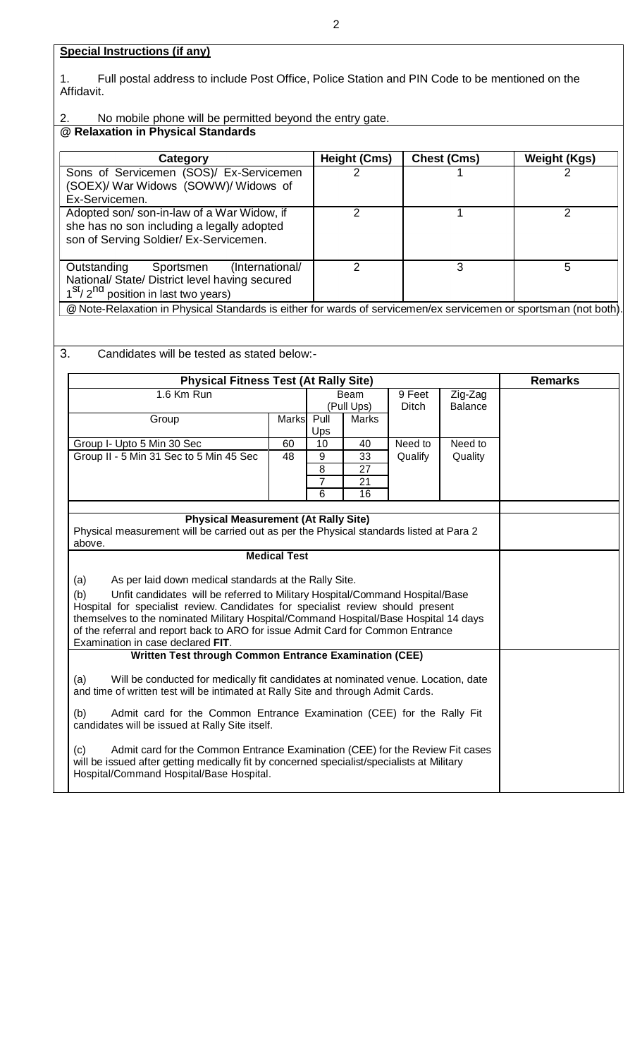1. Full postal address to include Post Office, Police Station and PIN Code to be mentioned on the Affidavit.

2. No mobile phone will be permitted beyond the entry gate.

# **@ Relaxation in Physical Standards**

| Category                                                                                                                               | Height (Cms) | <b>Chest (Cms)</b> | <b>Weight (Kgs)</b> |  |
|----------------------------------------------------------------------------------------------------------------------------------------|--------------|--------------------|---------------------|--|
| Sons of Servicemen (SOS)/ Ex-Servicemen<br>(SOEX)/ War Widows (SOWW)/ Widows of<br>Ex-Servicemen.                                      | າ            |                    |                     |  |
| Adopted son/ son-in-law of a War Widow, if<br>she has no son including a legally adopted<br>son of Serving Soldier/ Ex-Servicemen.     |              |                    |                     |  |
| (International/<br>Outstanding<br>Sportsmen<br>National/ State/ District level having secured<br>$1st/2nd$ position in last two years) |              |                    | 5                   |  |

@Note-Relaxation in Physical Standards is either for wards of servicemen/ex servicemen or sportsman (not both).

### 3. Candidates will be tested as stated below:-

| <b>Physical Fitness Test (At Rally Site)</b>                                                                                                                                       |       |                |            |              | <b>Remarks</b> |  |
|------------------------------------------------------------------------------------------------------------------------------------------------------------------------------------|-------|----------------|------------|--------------|----------------|--|
| 1.6 Km Run                                                                                                                                                                         |       |                | Beam       |              | Zig-Zag        |  |
|                                                                                                                                                                                    |       |                | (Pull Ups) | <b>Ditch</b> | <b>Balance</b> |  |
| Group                                                                                                                                                                              | Marks | $P$ ull<br>Ups | Marks      |              |                |  |
| Group I- Upto 5 Min 30 Sec                                                                                                                                                         | 60    | 10             | 40         | Need to      | Need to        |  |
| Group II - 5 Min 31 Sec to 5 Min 45 Sec                                                                                                                                            | 48    | 9              | 33         | Qualify      | Quality        |  |
|                                                                                                                                                                                    |       | 8              | 27         |              |                |  |
|                                                                                                                                                                                    |       | $\overline{7}$ | 21         |              |                |  |
|                                                                                                                                                                                    |       | $6\phantom{1}$ | 16         |              |                |  |
|                                                                                                                                                                                    |       |                |            |              |                |  |
| <b>Physical Measurement (At Rally Site)</b>                                                                                                                                        |       |                |            |              |                |  |
| Physical measurement will be carried out as per the Physical standards listed at Para 2                                                                                            |       |                |            |              |                |  |
| above.                                                                                                                                                                             |       |                |            |              |                |  |
| <b>Medical Test</b>                                                                                                                                                                |       |                |            |              |                |  |
| (a)<br>As per laid down medical standards at the Rally Site.                                                                                                                       |       |                |            |              |                |  |
| (b)<br>Unfit candidates will be referred to Military Hospital/Command Hospital/Base                                                                                                |       |                |            |              |                |  |
| Hospital for specialist review. Candidates for specialist review should present                                                                                                    |       |                |            |              |                |  |
| themselves to the nominated Military Hospital/Command Hospital/Base Hospital 14 days                                                                                               |       |                |            |              |                |  |
| of the referral and report back to ARO for issue Admit Card for Common Entrance                                                                                                    |       |                |            |              |                |  |
| Examination in case declared FIT.                                                                                                                                                  |       |                |            |              |                |  |
| <b>Written Test through Common Entrance Examination (CEE)</b>                                                                                                                      |       |                |            |              |                |  |
|                                                                                                                                                                                    |       |                |            |              |                |  |
| (a)<br>Will be conducted for medically fit candidates at nominated venue. Location, date<br>and time of written test will be intimated at Rally Site and through Admit Cards.      |       |                |            |              |                |  |
|                                                                                                                                                                                    |       |                |            |              |                |  |
| (b)<br>Admit card for the Common Entrance Examination (CEE) for the Rally Fit                                                                                                      |       |                |            |              |                |  |
| candidates will be issued at Rally Site itself.                                                                                                                                    |       |                |            |              |                |  |
|                                                                                                                                                                                    |       |                |            |              |                |  |
| (c)<br>Admit card for the Common Entrance Examination (CEE) for the Review Fit cases<br>will be issued after getting medically fit by concerned specialist/specialists at Military |       |                |            |              |                |  |
| Hospital/Command Hospital/Base Hospital.                                                                                                                                           |       |                |            |              |                |  |
|                                                                                                                                                                                    |       |                |            |              |                |  |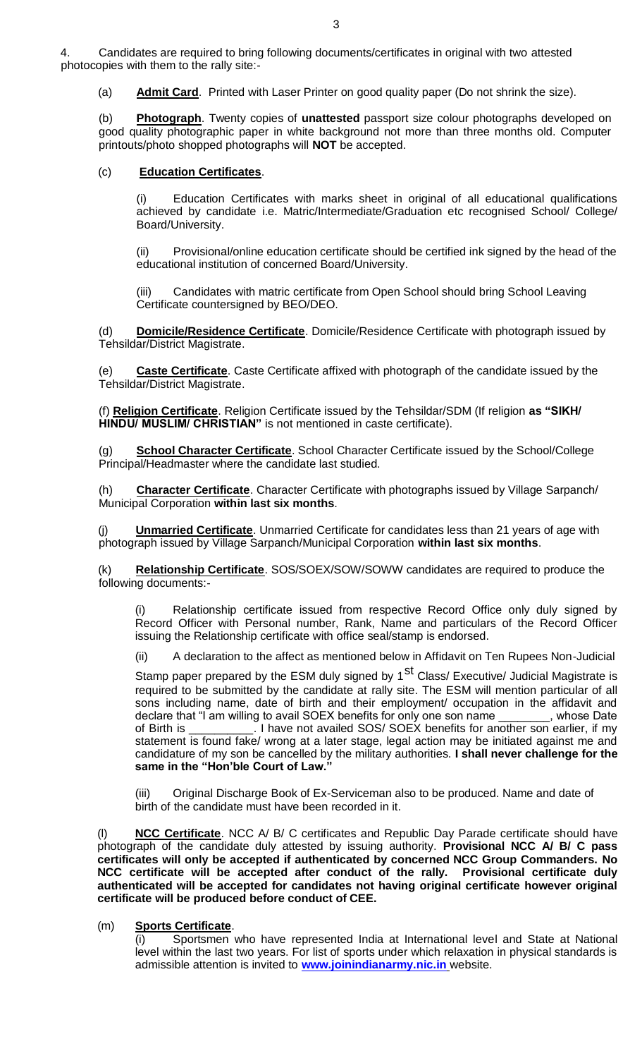4. Candidates are required to bring following documents/certificates in original with two attested photocopies with them to the rally site:-

(a) **Admit Card**. Printed with Laser Printer on good quality paper (Do not shrink the size).

(b) **Photograph**. Twenty copies of **unattested** passport size colour photographs developed on good quality photographic paper in white background not more than three months old. Computer printouts/photo shopped photographs will **NOT** be accepted.

## (c) **Education Certificates**.

(i) Education Certificates with marks sheet in original of all educational qualifications achieved by candidate i.e. Matric/Intermediate/Graduation etc recognised School/ College/ Board/University.

(ii) Provisional/online education certificate should be certified ink signed by the head of the educational institution of concerned Board/University.

(iii) Candidates with matric certificate from Open School should bring School Leaving Certificate countersigned by BEO/DEO.

(d) **Domicile/Residence Certificate**. Domicile/Residence Certificate with photograph issued by Tehsildar/District Magistrate.

(e) **Caste Certificate**. Caste Certificate affixed with photograph of the candidate issued by the Tehsildar/District Magistrate.

(f) **Religion Certificate**. Religion Certificate issued by the Tehsildar/SDM (If religion **as "SIKH/ HINDU/ MUSLIM/ CHRISTIAN"** is not mentioned in caste certificate).

(g) **School Character Certificate**. School Character Certificate issued by the School/College Principal/Headmaster where the candidate last studied.

(h) **Character Certificate**. Character Certificate with photographs issued by Village Sarpanch/ Municipal Corporation **within last six months**.

(j) **Unmarried Certificate**. Unmarried Certificate for candidates less than 21 years of age with photograph issued by Village Sarpanch/Municipal Corporation **within last six months**.

(k) **Relationship Certificate**. SOS/SOEX/SOW/SOWW candidates are required to produce the following documents:-

Relationship certificate issued from respective Record Office only duly signed by Record Officer with Personal number, Rank, Name and particulars of the Record Officer issuing the Relationship certificate with office seal/stamp is endorsed.

(ii) A declaration to the affect as mentioned below in Affidavit on Ten Rupees Non-Judicial

Stamp paper prepared by the ESM duly signed by 1<sup>st</sup> Class/ Executive/ Judicial Magistrate is required to be submitted by the candidate at rally site. The ESM will mention particular of all sons including name, date of birth and their employment/ occupation in the affidavit and declare that "I am willing to avail SOEX benefits for only one son name declare that "I am willing to avail SOEX benefits for only one son name of Birth is \_\_\_\_\_\_\_\_\_\_. I have not availed SOS/ SOEX benefits for another son earlier, if my statement is found fake/ wrong at a later stage, legal action may be initiated against me and candidature of my son be cancelled by the military authorities. **I shall never challenge for the same in the "Hon'ble Court of Law."**

(iii) Original Discharge Book of Ex-Serviceman also to be produced. Name and date of birth of the candidate must have been recorded in it.

**NCC Certificate**. NCC A/ B/ C certificates and Republic Day Parade certificate should have photograph of the candidate duly attested by issuing authority. **Provisional NCC A/ B/ C pass certificates will only be accepted if authenticated by concerned NCC Group Commanders. No NCC certificate will be accepted after conduct of the rally. Provisional certificate duly authenticated will be accepted for candidates not having original certificate however original certificate will be produced before conduct of CEE.** 

#### (m) **Sports Certificate**.

(i) Sportsmen who have represented India at International level and State at National level within the last two years. For list of sports under which relaxation in physical standards is admissible attention is invited to **[www.joinindianarmy.nic.in](http://www.joinindianarmy.nic.in/)** website.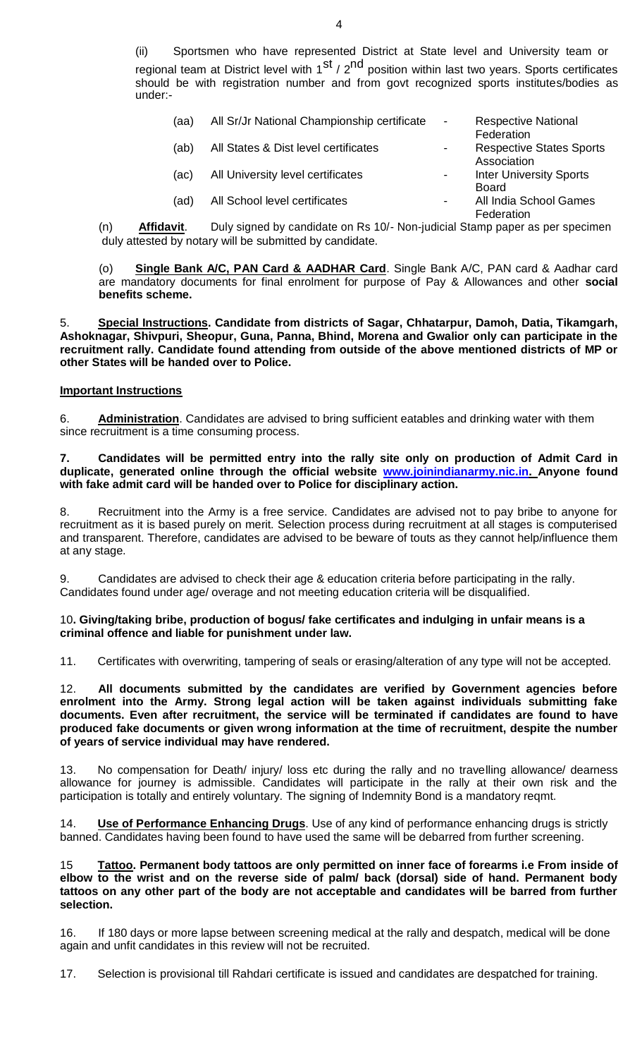(ii) Sportsmen who have represented District at State level and University team or regional team at District level with  $1^{st}$  /  $2^{nd}$  position within last two years. Sports certificates should be with registration number and from govt recognized sports institutes/bodies as under:-

| (aa) | All Sr/Jr National Championship certificate | $\overline{\phantom{a}}$ | <b>Respective National</b><br>Federation       |
|------|---------------------------------------------|--------------------------|------------------------------------------------|
| (ab) | All States & Dist level certificates        |                          | <b>Respective States Sports</b><br>Association |
| (ac) | All University level certificates           |                          | <b>Inter University Sports</b><br>Board        |
| (ad) | All School level certificates               |                          | All India School Games<br>Federation           |

(n) **Affidavit**. Duly signed by candidate on Rs 10/- Non-judicial Stamp paper as per specimen duly attested by notary will be submitted by candidate.

(o) **Single Bank A/C, PAN Card & AADHAR Card**. Single Bank A/C, PAN card & Aadhar card are mandatory documents for final enrolment for purpose of Pay & Allowances and other **social benefits scheme.**

5. **Special Instructions. Candidate from districts of Sagar, Chhatarpur, Damoh, Datia, Tikamgarh, Ashoknagar, Shivpuri, Sheopur, Guna, Panna, Bhind, Morena and Gwalior only can participate in the recruitment rally. Candidate found attending from outside of the above mentioned districts of MP or other States will be handed over to Police.**

#### **Important Instructions**

6. **Administration**. Candidates are advised to bring sufficient eatables and drinking water with them since recruitment is a time consuming process.

**7. Candidates will be permitted entry into the rally site only on production of Admit Card in duplicate, generated online through the official website [www.joinindianarmy.nic.in. A](http://www.joinindianarmy.nic.in/)nyone found with fake admit card will be handed over to Police for disciplinary action.**

8. Recruitment into the Army is a free service. Candidates are advised not to pay bribe to anyone for recruitment as it is based purely on merit. Selection process during recruitment at all stages is computerised and transparent. Therefore, candidates are advised to be beware of touts as they cannot help/influence them at any stage.

9. Candidates are advised to check their age & education criteria before participating in the rally. Candidates found under age/ overage and not meeting education criteria will be disqualified.

#### 10**. Giving/taking bribe, production of bogus/ fake certificates and indulging in unfair means is a criminal offence and liable for punishment under law.**

11. Certificates with overwriting, tampering of seals or erasing/alteration of any type will not be accepted.

12. **All documents submitted by the candidates are verified by Government agencies before enrolment into the Army. Strong legal action will be taken against individuals submitting fake documents. Even after recruitment, the service will be terminated if candidates are found to have produced fake documents or given wrong information at the time of recruitment, despite the number of years of service individual may have rendered.**

13. No compensation for Death/ injury/ loss etc during the rally and no travelling allowance/ dearness allowance for journey is admissible. Candidates will participate in the rally at their own risk and the participation is totally and entirely voluntary. The signing of Indemnity Bond is a mandatory reqmt.

14. **Use of Performance Enhancing Drugs**. Use of any kind of performance enhancing drugs is strictly banned. Candidates having been found to have used the same will be debarred from further screening.

15 **Tattoo. Permanent body tattoos are only permitted on inner face of forearms i.e From inside of elbow to the wrist and on the reverse side of palm/ back (dorsal) side of hand. Permanent body tattoos on any other part of the body are not acceptable and candidates will be barred from further selection.**

16. If 180 days or more lapse between screening medical at the rally and despatch, medical will be done again and unfit candidates in this review will not be recruited.

17. Selection is provisional till Rahdari certificate is issued and candidates are despatched for training.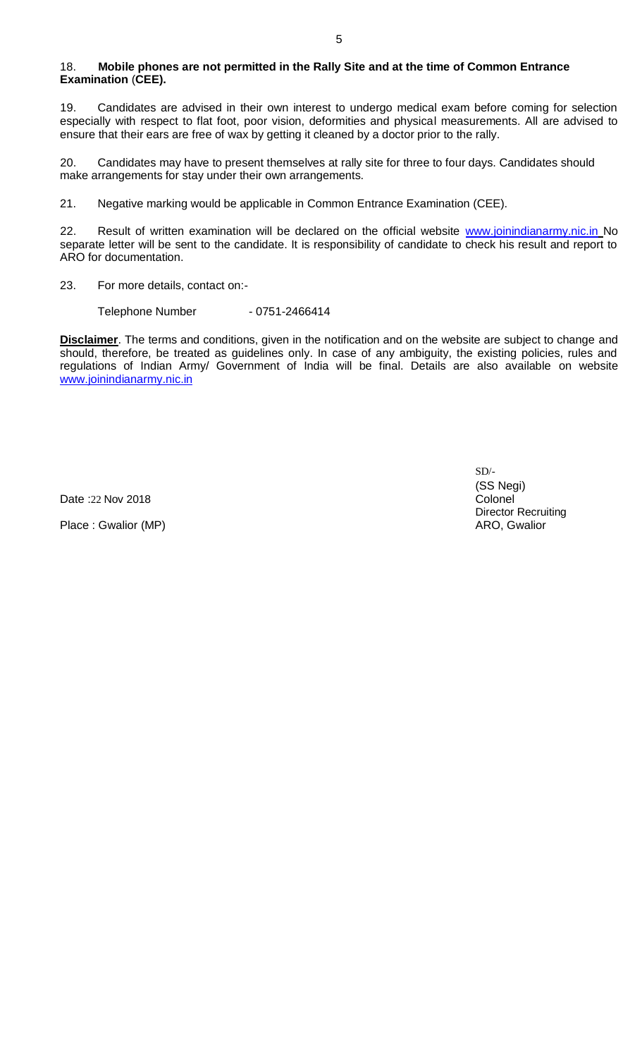#### 18. **Mobile phones are not permitted in the Rally Site and at the time of Common Entrance Examination** (**CEE).**

19. Candidates are advised in their own interest to undergo medical exam before coming for selection especially with respect to flat foot, poor vision, deformities and physical measurements. All are advised to ensure that their ears are free of wax by getting it cleaned by a doctor prior to the rally.

20. Candidates may have to present themselves at rally site for three to four days. Candidates should make arrangements for stay under their own arrangements.

21. Negative marking would be applicable in Common Entrance Examination (CEE).

22. Result of written examination will be declared on the official website [www.joinindianarmy.nic.in](http://www.joinindianarmy.nic.in/) No separate letter will be sent to the candidate. It is responsibility of candidate to check his result and report to ARO for documentation.

23. For more details, contact on:-

Telephone Number - 0751-2466414

**Disclaimer**. The terms and conditions, given in the notification and on the website are subject to change and should, therefore, be treated as guidelines only. In case of any ambiguity, the existing policies, rules and regulations of Indian Army/ Government of India will be final. Details are also available on website [www.joinindianarmy.nic.in](http://www.joinindianarmy.nic.in/)

Date :22 Nov 2018

Place : Gwalior (MP)

 $SD/-$ (SS Negi) Colonel Director Recruiting ARO, Gwalior